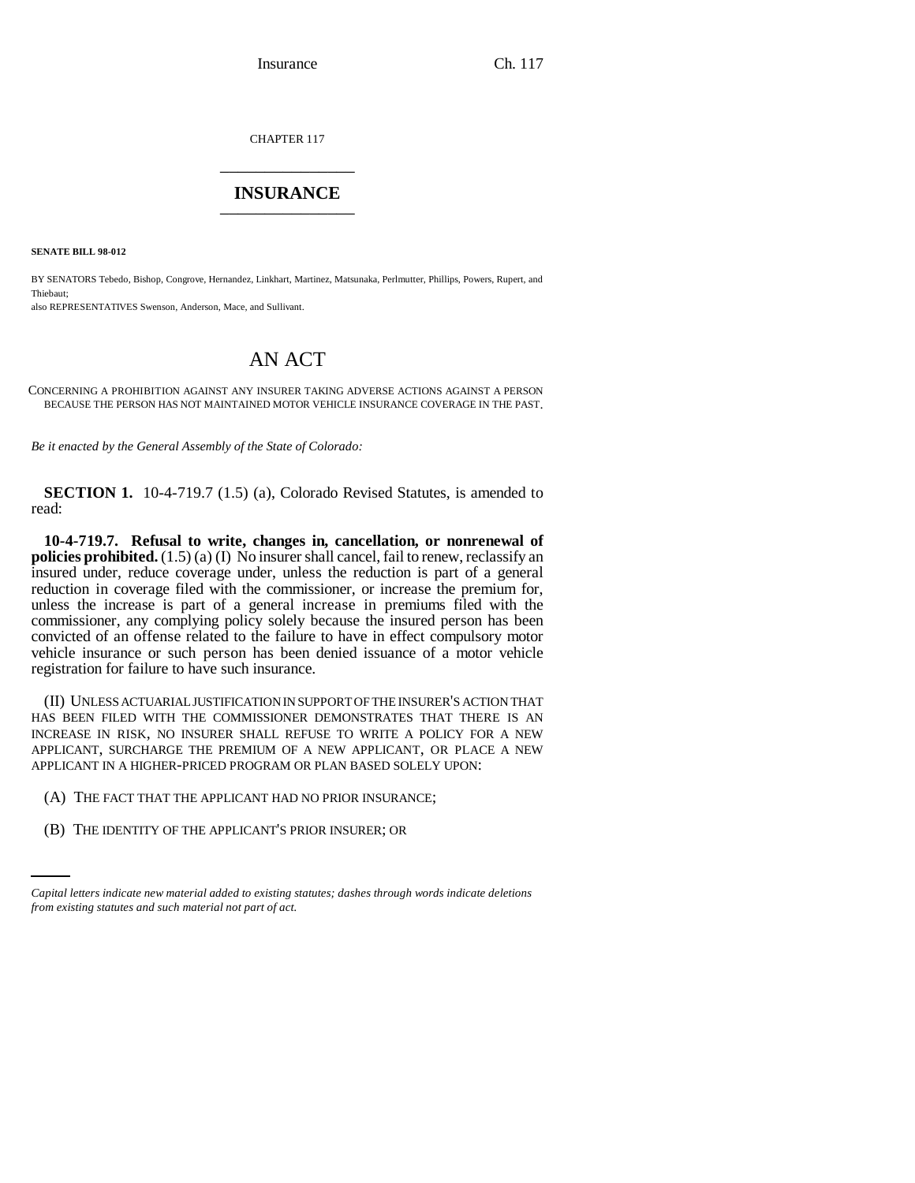CHAPTER 117 \_\_\_\_\_\_\_\_\_\_\_\_\_\_\_

## **INSURANCE** \_\_\_\_\_\_\_\_\_\_\_\_\_\_\_

**SENATE BILL 98-012**

BY SENATORS Tebedo, Bishop, Congrove, Hernandez, Linkhart, Martinez, Matsunaka, Perlmutter, Phillips, Powers, Rupert, and Thiebaut;

also REPRESENTATIVES Swenson, Anderson, Mace, and Sullivant.

## AN ACT

CONCERNING A PROHIBITION AGAINST ANY INSURER TAKING ADVERSE ACTIONS AGAINST A PERSON BECAUSE THE PERSON HAS NOT MAINTAINED MOTOR VEHICLE INSURANCE COVERAGE IN THE PAST.

*Be it enacted by the General Assembly of the State of Colorado:*

**SECTION 1.** 10-4-719.7 (1.5) (a), Colorado Revised Statutes, is amended to read:

**10-4-719.7. Refusal to write, changes in, cancellation, or nonrenewal of policies prohibited.** (1.5) (a) (I) No insurer shall cancel, fail to renew, reclassify an insured under, reduce coverage under, unless the reduction is part of a general reduction in coverage filed with the commissioner, or increase the premium for, unless the increase is part of a general increase in premiums filed with the commissioner, any complying policy solely because the insured person has been convicted of an offense related to the failure to have in effect compulsory motor vehicle insurance or such person has been denied issuance of a motor vehicle registration for failure to have such insurance.

(II) UNLESS ACTUARIAL JUSTIFICATION IN SUPPORT OF THE INSURER'S ACTION THAT HAS BEEN FILED WITH THE COMMISSIONER DEMONSTRATES THAT THERE IS AN INCREASE IN RISK, NO INSURER SHALL REFUSE TO WRITE A POLICY FOR A NEW APPLICANT, SURCHARGE THE PREMIUM OF A NEW APPLICANT, OR PLACE A NEW APPLICANT IN A HIGHER-PRICED PROGRAM OR PLAN BASED SOLELY UPON:

(A) THE FACT THAT THE APPLICANT HAD NO PRIOR INSURANCE;

(B) THE IDENTITY OF THE APPLICANT'S PRIOR INSURER; OR

*Capital letters indicate new material added to existing statutes; dashes through words indicate deletions from existing statutes and such material not part of act.*